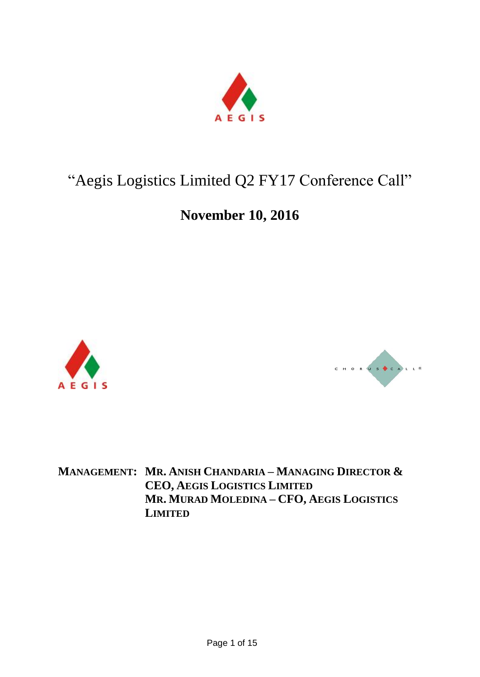

# "Aegis Logistics Limited Q2 FY17 Conference Call"

# **November 10, 2016**





**MANAGEMENT: MR. ANISH CHANDARIA – MANAGING DIRECTOR & CEO, AEGIS LOGISTICS LIMITED MR. MURAD MOLEDINA – CFO, AEGIS LOGISTICS LIMITED**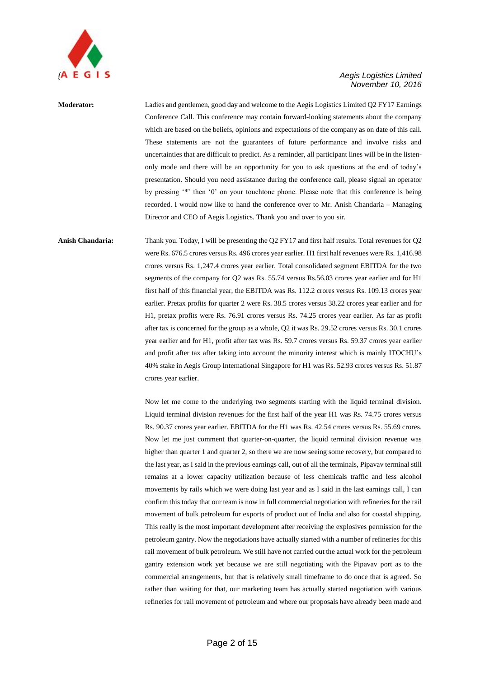

**Moderator:** Ladies and gentlemen, good day and welcome to the Aegis Logistics Limited Q2 FY17 Earnings Conference Call. This conference may contain forward-looking statements about the company which are based on the beliefs, opinions and expectations of the company as on date of this call. These statements are not the guarantees of future performance and involve risks and uncertainties that are difficult to predict. As a reminder, all participant lines will be in the listenonly mode and there will be an opportunity for you to ask questions at the end of today's presentation. Should you need assistance during the conference call, please signal an operator by pressing '\*' then '0' on your touchtone phone. Please note that this conference is being recorded. I would now like to hand the conference over to Mr. Anish Chandaria – Managing Director and CEO of Aegis Logistics. Thank you and over to you sir.

**Anish Chandaria:** Thank you. Today, I will be presenting the Q2 FY17 and first half results. Total revenues for Q2 were Rs. 676.5 crores versus Rs. 496 crores year earlier. H1 first half revenues were Rs. 1,416.98 crores versus Rs. 1,247.4 crores year earlier. Total consolidated segment EBITDA for the two segments of the company for Q2 was Rs. 55.74 versus Rs.56.03 crores year earlier and for H1 first half of this financial year, the EBITDA was Rs. 112.2 crores versus Rs. 109.13 crores year earlier. Pretax profits for quarter 2 were Rs. 38.5 crores versus 38.22 crores year earlier and for H1, pretax profits were Rs. 76.91 crores versus Rs. 74.25 crores year earlier. As far as profit after tax is concerned for the group as a whole, Q2 it was Rs. 29.52 crores versus Rs. 30.1 crores year earlier and for H1, profit after tax was Rs. 59.7 crores versus Rs. 59.37 crores year earlier and profit after tax after taking into account the minority interest which is mainly ITOCHU's 40% stake in Aegis Group International Singapore for H1 was Rs. 52.93 crores versus Rs. 51.87 crores year earlier.

> Now let me come to the underlying two segments starting with the liquid terminal division. Liquid terminal division revenues for the first half of the year H1 was Rs. 74.75 crores versus Rs. 90.37 crores year earlier. EBITDA for the H1 was Rs. 42.54 crores versus Rs. 55.69 crores. Now let me just comment that quarter-on-quarter, the liquid terminal division revenue was higher than quarter 1 and quarter 2, so there we are now seeing some recovery, but compared to the last year, as I said in the previous earnings call, out of all the terminals, Pipavav terminal still remains at a lower capacity utilization because of less chemicals traffic and less alcohol movements by rails which we were doing last year and as I said in the last earnings call, I can confirm this today that our team is now in full commercial negotiation with refineries for the rail movement of bulk petroleum for exports of product out of India and also for coastal shipping. This really is the most important development after receiving the explosives permission for the petroleum gantry. Now the negotiations have actually started with a number of refineries for this rail movement of bulk petroleum. We still have not carried out the actual work for the petroleum gantry extension work yet because we are still negotiating with the Pipavav port as to the commercial arrangements, but that is relatively small timeframe to do once that is agreed. So rather than waiting for that, our marketing team has actually started negotiation with various refineries for rail movement of petroleum and where our proposals have already been made and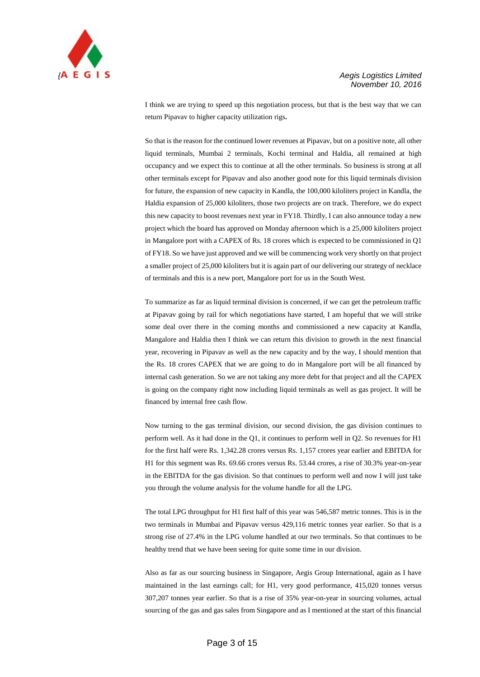

I think we are trying to speed up this negotiation process, but that is the best way that we can return Pipavav to higher capacity utilization rigs**.**

So that is the reason for the continued lower revenues at Pipavav, but on a positive note, all other liquid terminals, Mumbai 2 terminals, Kochi terminal and Haldia, all remained at high occupancy and we expect this to continue at all the other terminals. So business is strong at all other terminals except for Pipavav and also another good note for this liquid terminals division for future, the expansion of new capacity in Kandla, the 100,000 kiloliters project in Kandla, the Haldia expansion of 25,000 kiloliters, those two projects are on track. Therefore, we do expect this new capacity to boost revenues next year in FY18. Thirdly, I can also announce today a new project which the board has approved on Monday afternoon which is a 25,000 kiloliters project in Mangalore port with a CAPEX of Rs. 18 crores which is expected to be commissioned in Q1 of FY18. So we have just approved and we will be commencing work very shortly on that project a smaller project of 25,000 kiloliters but it is again part of our delivering our strategy of necklace of terminals and this is a new port, Mangalore port for us in the South West.

To summarize as far as liquid terminal division is concerned, if we can get the petroleum traffic at Pipavav going by rail for which negotiations have started, I am hopeful that we will strike some deal over there in the coming months and commissioned a new capacity at Kandla, Mangalore and Haldia then I think we can return this division to growth in the next financial year, recovering in Pipavav as well as the new capacity and by the way, I should mention that the Rs. 18 crores CAPEX that we are going to do in Mangalore port will be all financed by internal cash generation. So we are not taking any more debt for that project and all the CAPEX is going on the company right now including liquid terminals as well as gas project. It will be financed by internal free cash flow.

Now turning to the gas terminal division, our second division, the gas division continues to perform well. As it had done in the Q1, it continues to perform well in Q2. So revenues for H1 for the first half were Rs. 1,342.28 crores versus Rs. 1,157 crores year earlier and EBITDA for H1 for this segment was Rs. 69.66 crores versus Rs. 53.44 crores, a rise of 30.3% year-on-year in the EBITDA for the gas division. So that continues to perform well and now I will just take you through the volume analysis for the volume handle for all the LPG.

The total LPG throughput for H1 first half of this year was 546,587 metric tonnes. This is in the two terminals in Mumbai and Pipavav versus 429,116 metric tonnes year earlier. So that is a strong rise of 27.4% in the LPG volume handled at our two terminals. So that continues to be healthy trend that we have been seeing for quite some time in our division.

Also as far as our sourcing business in Singapore, Aegis Group International, again as I have maintained in the last earnings call; for H1, very good performance, 415,020 tonnes versus 307,207 tonnes year earlier. So that is a rise of 35% year-on-year in sourcing volumes, actual sourcing of the gas and gas sales from Singapore and as I mentioned at the start of this financial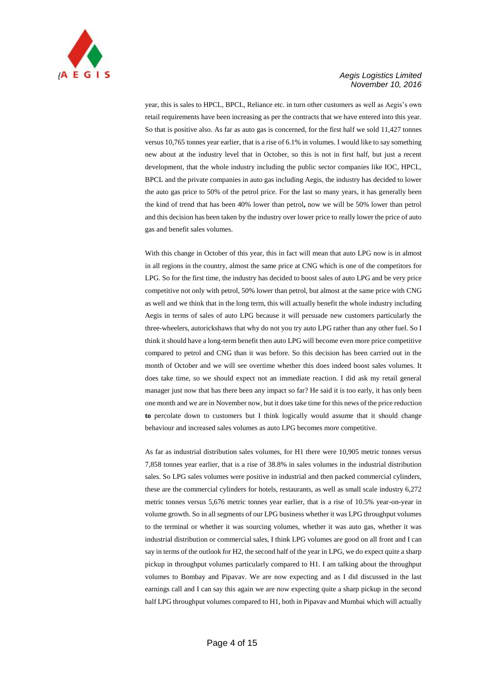

year, this is sales to HPCL, BPCL, Reliance etc. in turn other customers as well as Aegis's own retail requirements have been increasing as per the contracts that we have entered into this year. So that is positive also. As far as auto gas is concerned, for the first half we sold 11,427 tonnes versus 10,765 tonnes year earlier, that is a rise of 6.1% in volumes. I would like to say something new about at the industry level that in October, so this is not in first half, but just a recent development, that the whole industry including the public sector companies like IOC, HPCL, BPCL and the private companies in auto gas including Aegis, the industry has decided to lower the auto gas price to 50% of the petrol price. For the last so many years, it has generally been the kind of trend that has been 40% lower than petrol**,** now we will be 50% lower than petrol and this decision has been taken by the industry over lower price to really lower the price of auto gas and benefit sales volumes.

With this change in October of this year, this in fact will mean that auto LPG now is in almost in all regions in the country, almost the same price at CNG which is one of the competitors for LPG. So for the first time, the industry has decided to boost sales of auto LPG and be very price competitive not only with petrol, 50% lower than petrol, but almost at the same price with CNG as well and we think that in the long term, this will actually benefit the whole industry including Aegis in terms of sales of auto LPG because it will persuade new customers particularly the three-wheelers, autorickshaws that why do not you try auto LPG rather than any other fuel. So I think it should have a long-term benefit then auto LPG will become even more price competitive compared to petrol and CNG than it was before. So this decision has been carried out in the month of October and we will see overtime whether this does indeed boost sales volumes. It does take time, so we should expect not an immediate reaction. I did ask my retail general manager just now that has there been any impact so far? He said it is too early, it has only been one month and we are in November now, but it does take time for this news of the price reduction **to** percolate down to customers but I think logically would assume that it should change behaviour and increased sales volumes as auto LPG becomes more competitive.

As far as industrial distribution sales volumes, for H1 there were 10,905 metric tonnes versus 7,858 tonnes year earlier, that is a rise of 38.8% in sales volumes in the industrial distribution sales. So LPG sales volumes were positive in industrial and then packed commercial cylinders, these are the commercial cylinders for hotels, restaurants, as well as small scale industry 6,272 metric tonnes versus 5,676 metric tonnes year earlier, that is a rise of 10.5% year-on-year in volume growth. So in all segments of our LPG business whether it was LPG throughput volumes to the terminal or whether it was sourcing volumes, whether it was auto gas, whether it was industrial distribution or commercial sales, I think LPG volumes are good on all front and I can say in terms of the outlook for H2, the second half of the year in LPG, we do expect quite a sharp pickup in throughput volumes particularly compared to H1. I am talking about the throughput volumes to Bombay and Pipavav. We are now expecting and as I did discussed in the last earnings call and I can say this again we are now expecting quite a sharp pickup in the second half LPG throughput volumes compared to H1, both in Pipavav and Mumbai which will actually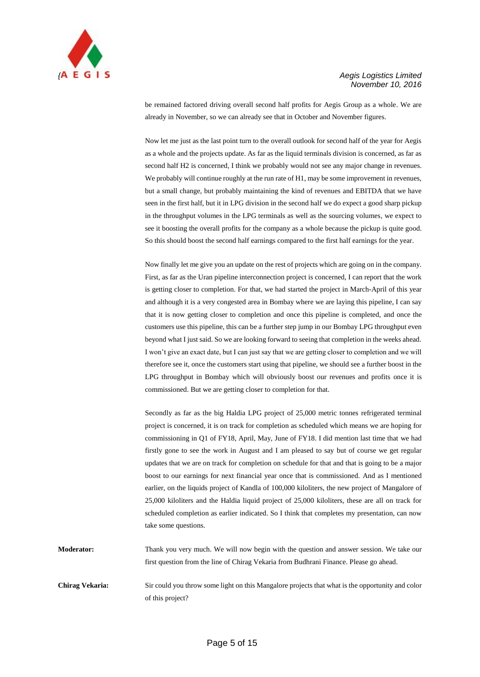

be remained factored driving overall second half profits for Aegis Group as a whole. We are already in November, so we can already see that in October and November figures.

Now let me just as the last point turn to the overall outlook for second half of the year for Aegis as a whole and the projects update. As far as the liquid terminals division is concerned, as far as second half H2 is concerned, I think we probably would not see any major change in revenues. We probably will continue roughly at the run rate of H1, may be some improvement in revenues, but a small change, but probably maintaining the kind of revenues and EBITDA that we have seen in the first half, but it in LPG division in the second half we do expect a good sharp pickup in the throughput volumes in the LPG terminals as well as the sourcing volumes, we expect to see it boosting the overall profits for the company as a whole because the pickup is quite good. So this should boost the second half earnings compared to the first half earnings for the year.

Now finally let me give you an update on the rest of projects which are going on in the company. First, as far as the Uran pipeline interconnection project is concerned, I can report that the work is getting closer to completion. For that, we had started the project in March-April of this year and although it is a very congested area in Bombay where we are laying this pipeline, I can say that it is now getting closer to completion and once this pipeline is completed, and once the customers use this pipeline, this can be a further step jump in our Bombay LPG throughput even beyond what I just said. So we are looking forward to seeing that completion in the weeks ahead. I won't give an exact date, but I can just say that we are getting closer to completion and we will therefore see it, once the customers start using that pipeline, we should see a further boost in the LPG throughput in Bombay which will obviously boost our revenues and profits once it is commissioned. But we are getting closer to completion for that.

Secondly as far as the big Haldia LPG project of 25,000 metric tonnes refrigerated terminal project is concerned, it is on track for completion as scheduled which means we are hoping for commissioning in Q1 of FY18, April, May, June of FY18. I did mention last time that we had firstly gone to see the work in August and I am pleased to say but of course we get regular updates that we are on track for completion on schedule for that and that is going to be a major boost to our earnings for next financial year once that is commissioned. And as I mentioned earlier, on the liquids project of Kandla of 100,000 kiloliters, the new project of Mangalore of 25,000 kiloliters and the Haldia liquid project of 25,000 kiloliters, these are all on track for scheduled completion as earlier indicated. So I think that completes my presentation, can now take some questions.

**Moderator:** Thank you very much. We will now begin with the question and answer session. We take our first question from the line of Chirag Vekaria from Budhrani Finance. Please go ahead.

**Chirag Vekaria:** Sir could you throw some light on this Mangalore projects that what is the opportunity and color of this project?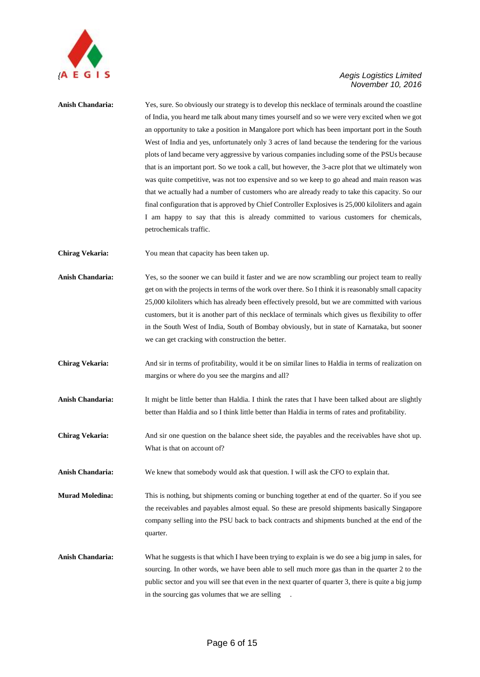

**Anish Chandaria:** Yes, sure. So obviously our strategy is to develop this necklace of terminals around the coastline of India, you heard me talk about many times yourself and so we were very excited when we got an opportunity to take a position in Mangalore port which has been important port in the South West of India and yes, unfortunately only 3 acres of land because the tendering for the various plots of land became very aggressive by various companies including some of the PSUs because that is an important port. So we took a call, but however, the 3-acre plot that we ultimately won was quite competitive, was not too expensive and so we keep to go ahead and main reason was that we actually had a number of customers who are already ready to take this capacity. So our final configuration that is approved by Chief Controller Explosives is 25,000 kiloliters and again I am happy to say that this is already committed to various customers for chemicals, petrochemicals traffic.

**Chirag Vekaria:** You mean that capacity has been taken up.

**Anish Chandaria:** Yes, so the sooner we can build it faster and we are now scrambling our project team to really get on with the projects in terms of the work over there. So I think it is reasonably small capacity 25,000 kiloliters which has already been effectively presold, but we are committed with various customers, but it is another part of this necklace of terminals which gives us flexibility to offer in the South West of India, South of Bombay obviously, but in state of Karnataka, but sooner we can get cracking with construction the better.

**Chirag Vekaria:** And sir in terms of profitability, would it be on similar lines to Haldia in terms of realization on margins or where do you see the margins and all?

**Anish Chandaria:** It might be little better than Haldia. I think the rates that I have been talked about are slightly better than Haldia and so I think little better than Haldia in terms of rates and profitability.

**Chirag Vekaria:** And sir one question on the balance sheet side, the payables and the receivables have shot up. What is that on account of?

Anish Chandaria: We knew that somebody would ask that question. I will ask the CFO to explain that.

**Murad Moledina:** This is nothing, but shipments coming or bunching together at end of the quarter. So if you see the receivables and payables almost equal. So these are presold shipments basically Singapore company selling into the PSU back to back contracts and shipments bunched at the end of the quarter.

**Anish Chandaria:** What he suggests is that which I have been trying to explain is we do see a big jump in sales, for sourcing. In other words, we have been able to sell much more gas than in the quarter 2 to the public sector and you will see that even in the next quarter of quarter 3, there is quite a big jump in the sourcing gas volumes that we are selling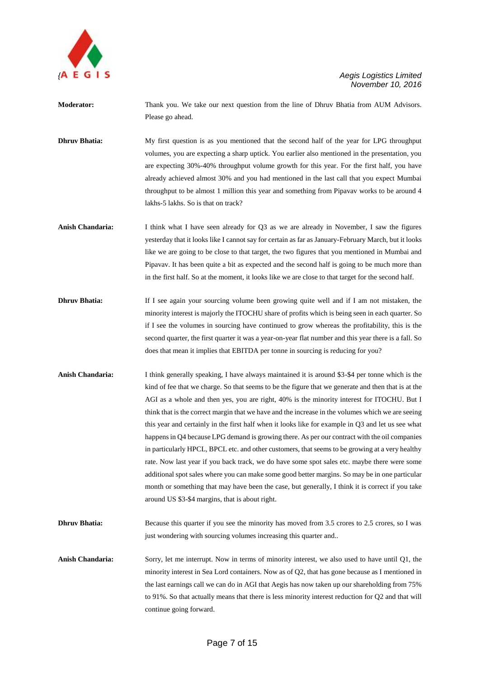

**Moderator:** Thank you. We take our next question from the line of Dhruv Bhatia from AUM Advisors. Please go ahead.

**Dhruv Bhatia:** My first question is as you mentioned that the second half of the year for LPG throughput volumes, you are expecting a sharp uptick. You earlier also mentioned in the presentation, you are expecting 30%-40% throughput volume growth for this year. For the first half, you have already achieved almost 30% and you had mentioned in the last call that you expect Mumbai throughput to be almost 1 million this year and something from Pipavav works to be around 4 lakhs-5 lakhs. So is that on track?

- **Anish Chandaria:** I think what I have seen already for Q3 as we are already in November, I saw the figures yesterday that it looks like I cannot say for certain as far as January-February March, but it looks like we are going to be close to that target, the two figures that you mentioned in Mumbai and Pipavav. It has been quite a bit as expected and the second half is going to be much more than in the first half. So at the moment, it looks like we are close to that target for the second half.
- **Dhruv Bhatia:** If I see again your sourcing volume been growing quite well and if I am not mistaken, the minority interest is majorly the ITOCHU share of profits which is being seen in each quarter. So if I see the volumes in sourcing have continued to grow whereas the profitability, this is the second quarter, the first quarter it was a year-on-year flat number and this year there is a fall. So does that mean it implies that EBITDA per tonne in sourcing is reducing for you?
- Anish Chandaria: I think generally speaking, I have always maintained it is around \$3-\$4 per tonne which is the kind of fee that we charge. So that seems to be the figure that we generate and then that is at the AGI as a whole and then yes, you are right, 40% is the minority interest for ITOCHU. But I think that is the correct margin that we have and the increase in the volumes which we are seeing this year and certainly in the first half when it looks like for example in Q3 and let us see what happens in Q4 because LPG demand is growing there. As per our contract with the oil companies in particularly HPCL, BPCL etc. and other customers, that seems to be growing at a very healthy rate. Now last year if you back track, we do have some spot sales etc. maybe there were some additional spot sales where you can make some good better margins. So may be in one particular month or something that may have been the case, but generally, I think it is correct if you take around US \$3-\$4 margins, that is about right.
- **Dhruv Bhatia:** Because this quarter if you see the minority has moved from 3.5 crores to 2.5 crores, so I was just wondering with sourcing volumes increasing this quarter and..

**Anish Chandaria:** Sorry, let me interrupt. Now in terms of minority interest, we also used to have until Q1, the minority interest in Sea Lord containers. Now as of Q2, that has gone because as I mentioned in the last earnings call we can do in AGI that Aegis has now taken up our shareholding from 75% to 91%. So that actually means that there is less minority interest reduction for Q2 and that will continue going forward.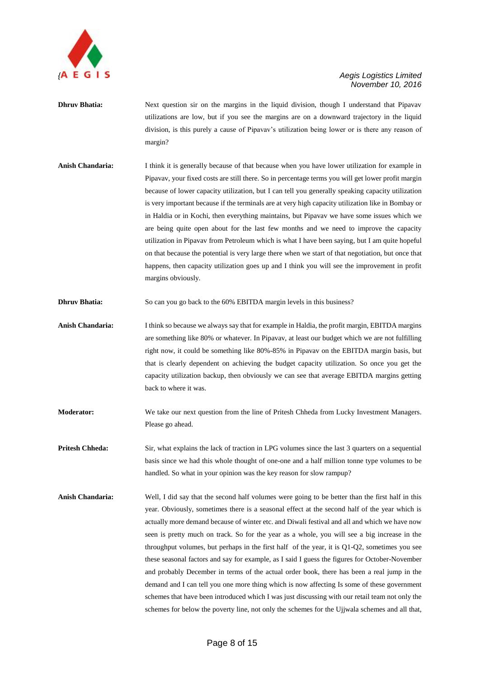

- **Dhruv Bhatia:** Next question sir on the margins in the liquid division, though I understand that Pipavav utilizations are low, but if you see the margins are on a downward trajectory in the liquid division, is this purely a cause of Pipavav's utilization being lower or is there any reason of margin?
- **Anish Chandaria:** I think it is generally because of that because when you have lower utilization for example in Pipavav, your fixed costs are still there. So in percentage terms you will get lower profit margin because of lower capacity utilization, but I can tell you generally speaking capacity utilization is very important because if the terminals are at very high capacity utilization like in Bombay or in Haldia or in Kochi, then everything maintains, but Pipavav we have some issues which we are being quite open about for the last few months and we need to improve the capacity utilization in Pipavav from Petroleum which is what I have been saying, but I am quite hopeful on that because the potential is very large there when we start of that negotiation, but once that happens, then capacity utilization goes up and I think you will see the improvement in profit margins obviously.

**Dhruv Bhatia:** So can you go back to the 60% EBITDA margin levels in this business?

- **Anish Chandaria:** I think so because we always say that for example in Haldia, the profit margin, EBITDA margins are something like 80% or whatever. In Pipavav, at least our budget which we are not fulfilling right now, it could be something like 80%-85% in Pipavav on the EBITDA margin basis, but that is clearly dependent on achieving the budget capacity utilization. So once you get the capacity utilization backup, then obviously we can see that average EBITDA margins getting back to where it was.
- **Moderator:** We take our next question from the line of Pritesh Chheda from Lucky Investment Managers. Please go ahead.
- **Pritesh Chheda:** Sir, what explains the lack of traction in LPG volumes since the last 3 quarters on a sequential basis since we had this whole thought of one-one and a half million tonne type volumes to be handled. So what in your opinion was the key reason for slow rampup?
- **Anish Chandaria:** Well, I did say that the second half volumes were going to be better than the first half in this year. Obviously, sometimes there is a seasonal effect at the second half of the year which is actually more demand because of winter etc. and Diwali festival and all and which we have now seen is pretty much on track. So for the year as a whole, you will see a big increase in the throughput volumes, but perhaps in the first half of the year, it is Q1-Q2, sometimes you see these seasonal factors and say for example, as I said I guess the figures for October-November and probably December in terms of the actual order book, there has been a real jump in the demand and I can tell you one more thing which is now affecting Is some of these government schemes that have been introduced which I was just discussing with our retail team not only the schemes for below the poverty line, not only the schemes for the Ujjwala schemes and all that,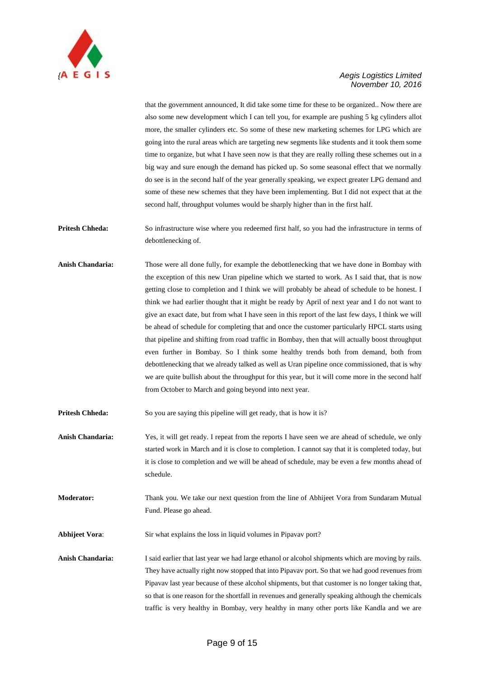

that the government announced, It did take some time for these to be organized.. Now there are also some new development which I can tell you, for example are pushing 5 kg cylinders allot more, the smaller cylinders etc. So some of these new marketing schemes for LPG which are going into the rural areas which are targeting new segments like students and it took them some time to organize, but what I have seen now is that they are really rolling these schemes out in a big way and sure enough the demand has picked up. So some seasonal effect that we normally do see is in the second half of the year generally speaking, we expect greater LPG demand and some of these new schemes that they have been implementing. But I did not expect that at the second half, throughput volumes would be sharply higher than in the first half.

**Pritesh Chheda:** So infrastructure wise where you redeemed first half, so you had the infrastructure in terms of debottlenecking of.

**Anish Chandaria:** Those were all done fully, for example the debottlenecking that we have done in Bombay with the exception of this new Uran pipeline which we started to work. As I said that, that is now getting close to completion and I think we will probably be ahead of schedule to be honest. I think we had earlier thought that it might be ready by April of next year and I do not want to give an exact date, but from what I have seen in this report of the last few days, I think we will be ahead of schedule for completing that and once the customer particularly HPCL starts using that pipeline and shifting from road traffic in Bombay, then that will actually boost throughput even further in Bombay. So I think some healthy trends both from demand, both from debottlenecking that we already talked as well as Uran pipeline once commissioned, that is why we are quite bullish about the throughput for this year, but it will come more in the second half from October to March and going beyond into next year.

**Pritesh Chheda:** So you are saying this pipeline will get ready, that is how it is?

**Anish Chandaria:** Yes, it will get ready. I repeat from the reports I have seen we are ahead of schedule, we only started work in March and it is close to completion. I cannot say that it is completed today, but it is close to completion and we will be ahead of schedule, may be even a few months ahead of schedule.

**Moderator:** Thank you. We take our next question from the line of Abhijeet Vora from Sundaram Mutual Fund. Please go ahead.

**Abhijeet Vora:** Sir what explains the loss in liquid volumes in Pipavav port?

**Anish Chandaria:** I said earlier that last year we had large ethanol or alcohol shipments which are moving by rails. They have actually right now stopped that into Pipavav port. So that we had good revenues from Pipavav last year because of these alcohol shipments, but that customer is no longer taking that, so that is one reason for the shortfall in revenues and generally speaking although the chemicals traffic is very healthy in Bombay, very healthy in many other ports like Kandla and we are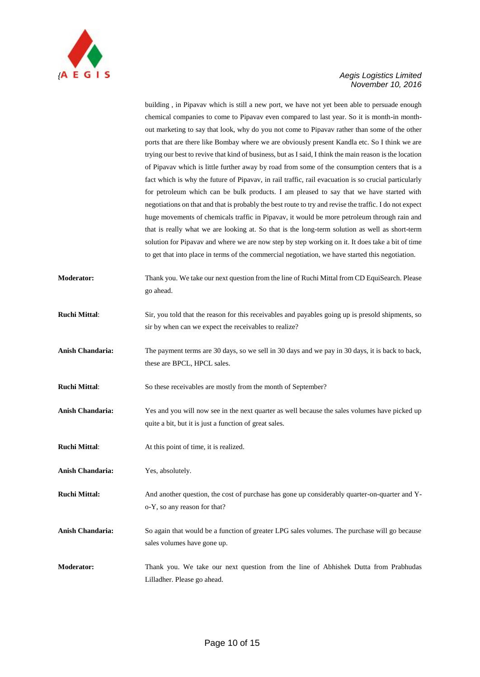

building , in Pipavav which is still a new port, we have not yet been able to persuade enough chemical companies to come to Pipavav even compared to last year. So it is month-in monthout marketing to say that look, why do you not come to Pipavav rather than some of the other ports that are there like Bombay where we are obviously present Kandla etc. So I think we are trying our best to revive that kind of business, but as I said, I think the main reason is the location of Pipavav which is little further away by road from some of the consumption centers that is a fact which is why the future of Pipavav, in rail traffic, rail evacuation is so crucial particularly for petroleum which can be bulk products. I am pleased to say that we have started with negotiations on that and that is probably the best route to try and revise the traffic. I do not expect huge movements of chemicals traffic in Pipavav, it would be more petroleum through rain and that is really what we are looking at. So that is the long-term solution as well as short-term solution for Pipavav and where we are now step by step working on it. It does take a bit of time to get that into place in terms of the commercial negotiation, we have started this negotiation.

- **Moderator:** Thank you. We take our next question from the line of Ruchi Mittal from CD EquiSearch. Please go ahead.
- **Ruchi Mittal**: Sir, you told that the reason for this receivables and payables going up is presold shipments, so sir by when can we expect the receivables to realize?
- **Anish Chandaria:** The payment terms are 30 days, so we sell in 30 days and we pay in 30 days, it is back to back, these are BPCL, HPCL sales.
- **Ruchi Mittal:** So these receivables are mostly from the month of September?
- **Anish Chandaria:** Yes and you will now see in the next quarter as well because the sales volumes have picked up quite a bit, but it is just a function of great sales.
- **Ruchi Mittal:** At this point of time, it is realized.
- **Anish Chandaria:** Yes, absolutely.
- **Ruchi Mittal:** And another question, the cost of purchase has gone up considerably quarter-on-quarter and Yo-Y, so any reason for that?
- **Anish Chandaria:** So again that would be a function of greater LPG sales volumes. The purchase will go because sales volumes have gone up.
- **Moderator:** Thank you. We take our next question from the line of Abhishek Dutta from Prabhudas Lilladher. Please go ahead.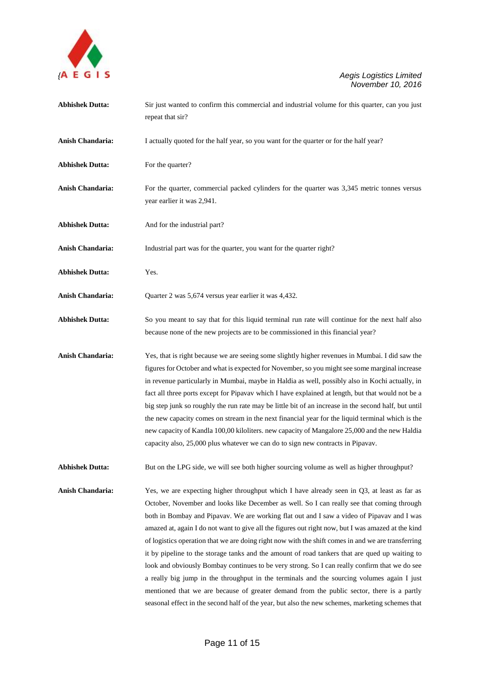

| <b>Abhishek Dutta:</b>  | Sir just wanted to confirm this commercial and industrial volume for this quarter, can you just<br>repeat that sir?                                                                                                                                                                                                                                                                                                                                                                                                                                                                                                                                                                                                                                                                                                                                                                                                                                                                                   |
|-------------------------|-------------------------------------------------------------------------------------------------------------------------------------------------------------------------------------------------------------------------------------------------------------------------------------------------------------------------------------------------------------------------------------------------------------------------------------------------------------------------------------------------------------------------------------------------------------------------------------------------------------------------------------------------------------------------------------------------------------------------------------------------------------------------------------------------------------------------------------------------------------------------------------------------------------------------------------------------------------------------------------------------------|
| Anish Chandaria:        | I actually quoted for the half year, so you want for the quarter or for the half year?                                                                                                                                                                                                                                                                                                                                                                                                                                                                                                                                                                                                                                                                                                                                                                                                                                                                                                                |
| <b>Abhishek Dutta:</b>  | For the quarter?                                                                                                                                                                                                                                                                                                                                                                                                                                                                                                                                                                                                                                                                                                                                                                                                                                                                                                                                                                                      |
| <b>Anish Chandaria:</b> | For the quarter, commercial packed cylinders for the quarter was 3,345 metric tonnes versus<br>year earlier it was 2,941.                                                                                                                                                                                                                                                                                                                                                                                                                                                                                                                                                                                                                                                                                                                                                                                                                                                                             |
| <b>Abhishek Dutta:</b>  | And for the industrial part?                                                                                                                                                                                                                                                                                                                                                                                                                                                                                                                                                                                                                                                                                                                                                                                                                                                                                                                                                                          |
| Anish Chandaria:        | Industrial part was for the quarter, you want for the quarter right?                                                                                                                                                                                                                                                                                                                                                                                                                                                                                                                                                                                                                                                                                                                                                                                                                                                                                                                                  |
| <b>Abhishek Dutta:</b>  | Yes.                                                                                                                                                                                                                                                                                                                                                                                                                                                                                                                                                                                                                                                                                                                                                                                                                                                                                                                                                                                                  |
| Anish Chandaria:        | Quarter 2 was 5,674 versus year earlier it was 4,432.                                                                                                                                                                                                                                                                                                                                                                                                                                                                                                                                                                                                                                                                                                                                                                                                                                                                                                                                                 |
| <b>Abhishek Dutta:</b>  | So you meant to say that for this liquid terminal run rate will continue for the next half also<br>because none of the new projects are to be commissioned in this financial year?                                                                                                                                                                                                                                                                                                                                                                                                                                                                                                                                                                                                                                                                                                                                                                                                                    |
| Anish Chandaria:        | Yes, that is right because we are seeing some slightly higher revenues in Mumbai. I did saw the<br>figures for October and what is expected for November, so you might see some marginal increase<br>in revenue particularly in Mumbai, maybe in Haldia as well, possibly also in Kochi actually, in<br>fact all three ports except for Pipavav which I have explained at length, but that would not be a<br>big step junk so roughly the run rate may be little bit of an increase in the second half, but until<br>the new capacity comes on stream in the next financial year for the liquid terminal which is the<br>new capacity of Kandla 100,00 kiloliters. new capacity of Mangalore 25,000 and the new Haldia<br>capacity also, 25,000 plus whatever we can do to sign new contracts in Pipavav.                                                                                                                                                                                             |
| <b>Abhishek Dutta:</b>  | But on the LPG side, we will see both higher sourcing volume as well as higher throughput?                                                                                                                                                                                                                                                                                                                                                                                                                                                                                                                                                                                                                                                                                                                                                                                                                                                                                                            |
| Anish Chandaria:        | Yes, we are expecting higher throughput which I have already seen in Q3, at least as far as<br>October, November and looks like December as well. So I can really see that coming through<br>both in Bombay and Pipavav. We are working flat out and I saw a video of Pipavav and I was<br>amazed at, again I do not want to give all the figures out right now, but I was amazed at the kind<br>of logistics operation that we are doing right now with the shift comes in and we are transferring<br>it by pipeline to the storage tanks and the amount of road tankers that are qued up waiting to<br>look and obviously Bombay continues to be very strong. So I can really confirm that we do see<br>a really big jump in the throughput in the terminals and the sourcing volumes again I just<br>mentioned that we are because of greater demand from the public sector, there is a partly<br>seasonal effect in the second half of the year, but also the new schemes, marketing schemes that |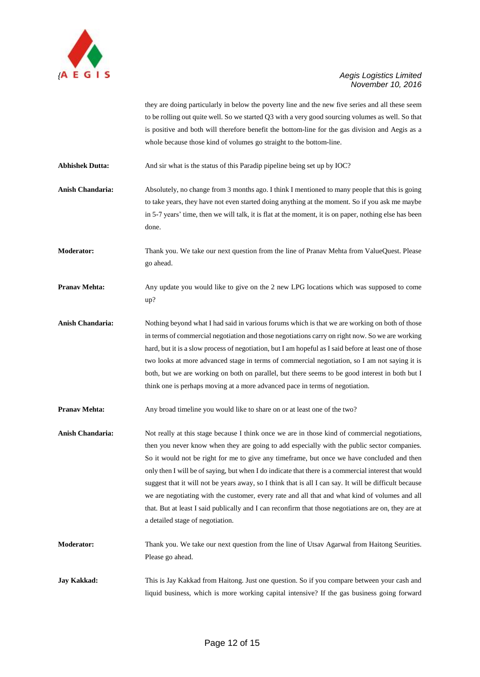

they are doing particularly in below the poverty line and the new five series and all these seem to be rolling out quite well. So we started Q3 with a very good sourcing volumes as well. So that is positive and both will therefore benefit the bottom-line for the gas division and Aegis as a whole because those kind of volumes go straight to the bottom-line.

**Abhishek Dutta:** And sir what is the status of this Paradip pipeline being set up by IOC?

**Anish Chandaria:** Absolutely, no change from 3 months ago. I think I mentioned to many people that this is going to take years, they have not even started doing anything at the moment. So if you ask me maybe in 5-7 years' time, then we will talk, it is flat at the moment, it is on paper, nothing else has been done.

**Moderator:** Thank you. We take our next question from the line of Pranav Mehta from ValueQuest. Please go ahead.

**Pranav Mehta:** Any update you would like to give on the 2 new LPG locations which was supposed to come up?

**Anish Chandaria:** Nothing beyond what I had said in various forums which is that we are working on both of those in terms of commercial negotiation and those negotiations carry on right now. So we are working hard, but it is a slow process of negotiation, but I am hopeful as I said before at least one of those two looks at more advanced stage in terms of commercial negotiation, so I am not saying it is both, but we are working on both on parallel, but there seems to be good interest in both but I think one is perhaps moving at a more advanced pace in terms of negotiation.

**Pranav Mehta:** Any broad timeline you would like to share on or at least one of the two?

**Anish Chandaria:** Not really at this stage because I think once we are in those kind of commercial negotiations, then you never know when they are going to add especially with the public sector companies. So it would not be right for me to give any timeframe, but once we have concluded and then only then I will be of saying, but when I do indicate that there is a commercial interest that would suggest that it will not be years away, so I think that is all I can say. It will be difficult because we are negotiating with the customer, every rate and all that and what kind of volumes and all that. But at least I said publically and I can reconfirm that those negotiations are on, they are at a detailed stage of negotiation.

**Moderator:** Thank you. We take our next question from the line of Utsav Agarwal from Haitong Seurities. Please go ahead.

**Jay Kakkad:** This is Jay Kakkad from Haitong. Just one question. So if you compare between your cash and liquid business, which is more working capital intensive? If the gas business going forward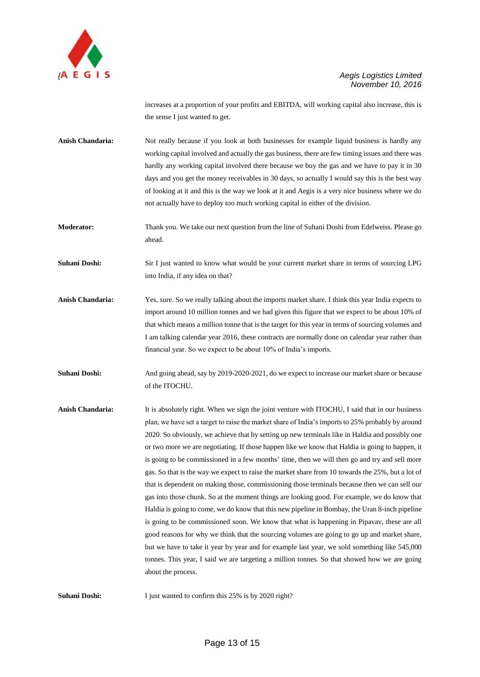

increases at a proportion of your profits and EBITDA, will working capital also increase, this is the sense I just wanted to get.

**Anish Chandaria:** Not really because if you look at both businesses for example liquid business is hardly any working capital involved and actually the gas business, there are few timing issues and there was hardly any working capital involved there because we buy the gas and we have to pay it in 30 days and you get the money receivables in 30 days, so actually I would say this is the best way of looking at it and this is the way we look at it and Aegis is a very nice business where we do not actually have to deploy too much working capital in either of the division.

**Moderator:** Thank you. We take our next question from the line of Suhani Doshi from Edelweiss. Please go ahead.

**Suhani Doshi:** Sir I just wanted to know what would be your current market share in terms of sourcing LPG into India, if any idea on that?

**Anish Chandaria:** Yes, sure. So we really talking about the imports market share. I think this year India expects to import around 10 million tonnes and we had given this figure that we expect to be about 10% of that which means a million tonne that is the target for this year in terms of sourcing volumes and I am talking calendar year 2016, these contracts are normally done on calendar year rather than financial year. So we expect to be about 10% of India's imports.

**Suhani Doshi:** And going ahead, say by 2019-2020-2021, do we expect to increase our market share or because of the ITOCHU.

**Anish Chandaria:** It is absolutely right. When we sign the joint venture with ITOCHU, I said that in our business plan, we have set a target to raise the market share of India's imports to 25% probably by around 2020. So obviously, we achieve that by setting up new terminals like in Haldia and possibly one or two more we are negotiating. If those happen like we know that Haldia is going to happen, it is going to be commissioned in a few months' time, then we will then go and try and sell more gas. So that is the way we expect to raise the market share from 10 towards the 25%, but a lot of that is dependent on making those, commissioning those terminals because then we can sell our gas into those chunk. So at the moment things are looking good. For example, we do know that Haldia is going to come, we do know that this new pipeline in Bombay, the Uran 8-inch pipeline is going to be commissioned soon. We know that what is happening in Pipavav, these are all good reasons for why we think that the sourcing volumes are going to go up and market share, but we have to take it year by year and for example last year, we sold something like 545,000 tonnes. This year, I said we are targeting a million tonnes. So that showed how we are going about the process.

**Suhani Doshi:** I just wanted to confirm this 25% is by 2020 right?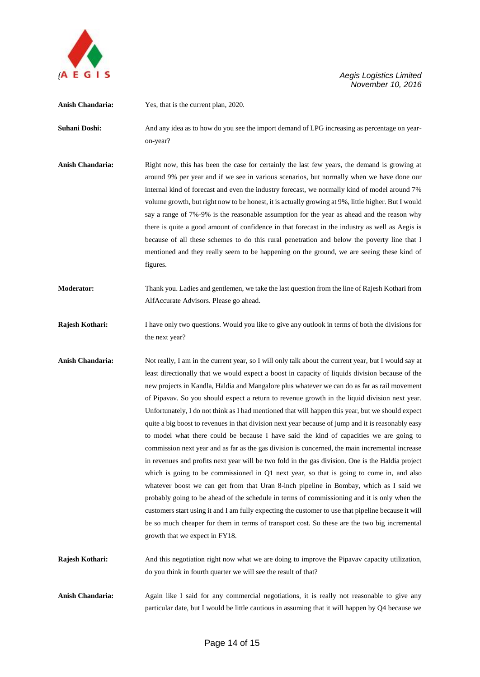

**Anish Chandaria:** Yes, that is the current plan, 2020. **Suhani Doshi:** And any idea as to how do you see the import demand of LPG increasing as percentage on yearon-year? **Anish Chandaria:** Right now, this has been the case for certainly the last few years, the demand is growing at around 9% per year and if we see in various scenarios, but normally when we have done our internal kind of forecast and even the industry forecast, we normally kind of model around 7% volume growth, but right now to be honest, it is actually growing at 9%, little higher. But I would say a range of 7%-9% is the reasonable assumption for the year as ahead and the reason why there is quite a good amount of confidence in that forecast in the industry as well as Aegis is because of all these schemes to do this rural penetration and below the poverty line that I mentioned and they really seem to be happening on the ground, we are seeing these kind of figures. **Moderator:** Thank you. Ladies and gentlemen, we take the last question from the line of Rajesh Kothari from AlfAccurate Advisors. Please go ahead. **Rajesh Kothari:** I have only two questions. Would you like to give any outlook in terms of both the divisions for the next year? **Anish Chandaria:** Not really, I am in the current year, so I will only talk about the current year, but I would say at least directionally that we would expect a boost in capacity of liquids division because of the new projects in Kandla, Haldia and Mangalore plus whatever we can do as far as rail movement of Pipavav. So you should expect a return to revenue growth in the liquid division next year. Unfortunately, I do not think as I had mentioned that will happen this year, but we should expect quite a big boost to revenues in that division next year because of jump and it is reasonably easy to model what there could be because I have said the kind of capacities we are going to commission next year and as far as the gas division is concerned, the main incremental increase in revenues and profits next year will be two fold in the gas division. One is the Haldia project which is going to be commissioned in Q1 next year, so that is going to come in, and also whatever boost we can get from that Uran 8-inch pipeline in Bombay, which as I said we probably going to be ahead of the schedule in terms of commissioning and it is only when the customers start using it and I am fully expecting the customer to use that pipeline because it will be so much cheaper for them in terms of transport cost. So these are the two big incremental growth that we expect in FY18. **Rajesh Kothari:** And this negotiation right now what we are doing to improve the Pipavav capacity utilization, do you think in fourth quarter we will see the result of that? Anish Chandaria: Again like I said for any commercial negotiations, it is really not reasonable to give any particular date, but I would be little cautious in assuming that it will happen by Q4 because we